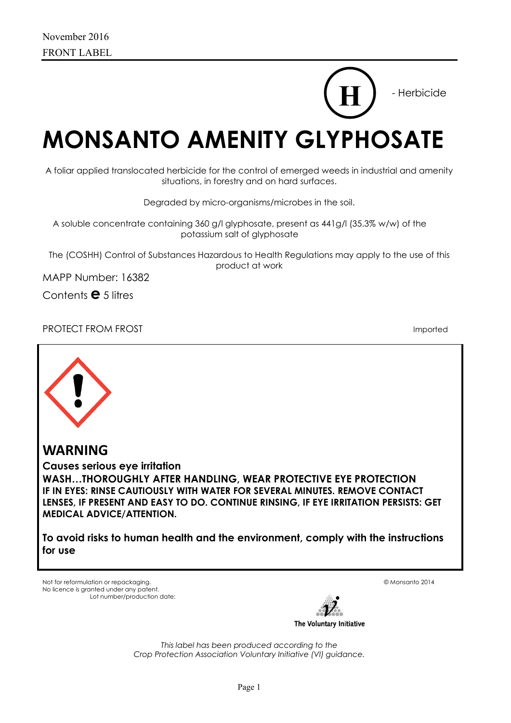# - Herbicide

**H**

**MONSANTO AMENITY GLYPHOSATE** 

A foliar applied translocated herbicide for the control of emerged weeds in industrial and amenity situations, in forestry and on hard surfaces.

Degraded by micro-organisms/microbes in the soil.

A soluble concentrate containing 360 g/l glyphosate, present as 441g/l (35.3% w/w) of the potassium salt of glyphosate

The (COSHH) Control of Substances Hazardous to Health Regulations may apply to the use of this product at work

MAPP Number: 16382

Contents **e** 5 litres

PROTECT FROM FROST **Imported** 



**WARNING** 

**Causes serious eye irritation WASH…THOROUGHLY AFTER HANDLING, WEAR PROTECTIVE EYE PROTECTION IF IN EYES: RINSE CAUTIOUSLY WITH WATER FOR SEVERAL MINUTES. REMOVE CONTACT LENSES, IF PRESENT AND EASY TO DO. CONTINUE RINSING, IF EYE IRRITATION PERSISTS: GET MEDICAL ADVICE/ATTENTION.**

**To avoid risks to human health and the environment, comply with the instructions for use**

Not for reformulation or repackaging. © Monsanto 2014 No licence is granted under any patent. Lot number/production date:

The Voluntary Initiative

*This label has been produced according to the Crop Protection Association Voluntary Initiative (VI) guidance.*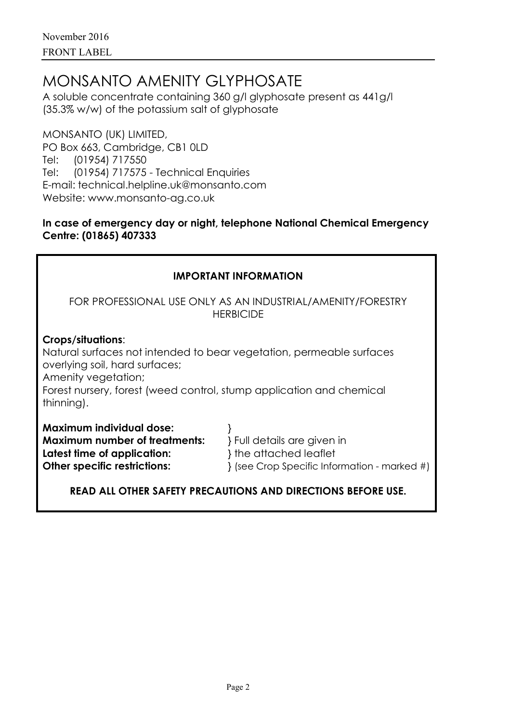# MONSANTO AMENITY GLYPHOSATE

A soluble concentrate containing 360 g/l glyphosate present as 441g/l (35.3% w/w) of the potassium salt of glyphosate

MONSANTO (UK) LIMITED, PO Box 663, Cambridge, CB1 0LD Tel: (01954) 717550 Tel: (01954) 717575 - Technical Enquiries E-mail: technical.helpline.uk@monsanto.com Website: www.monsanto-ag.co.uk

## **In case of emergency day or night, telephone National Chemical Emergency Centre: (01865) 407333**

| <b>IMPORTANT INFORMATION</b>                                                                                                                                                                                                                           |                                                              |  |  |  |  |
|--------------------------------------------------------------------------------------------------------------------------------------------------------------------------------------------------------------------------------------------------------|--------------------------------------------------------------|--|--|--|--|
| FOR PROFESSIONAL USE ONLY AS AN INDUSTRIAL/AMENITY/FORESTRY<br><b>HERBICIDE</b>                                                                                                                                                                        |                                                              |  |  |  |  |
| Crops/situations:<br>Natural surfaces not intended to bear vegetation, permeable surfaces<br>overlying soil, hard surfaces;<br>Amenity vegetation;<br>Forest nursery, forest (weed control, stump application and chemical<br>thinning).               |                                                              |  |  |  |  |
| <b>Maximum individual dose:</b><br><b>Maximum number of treatments:</b><br>} Full details are given in<br>} the attached leaflet<br>Latest time of application:<br><b>Other specific restrictions:</b><br>{ (see Crop Specific Information - marked #) |                                                              |  |  |  |  |
|                                                                                                                                                                                                                                                        | READ ALL OTHER SAFETY PRECAUTIONS AND DIRECTIONS BEFORE USE. |  |  |  |  |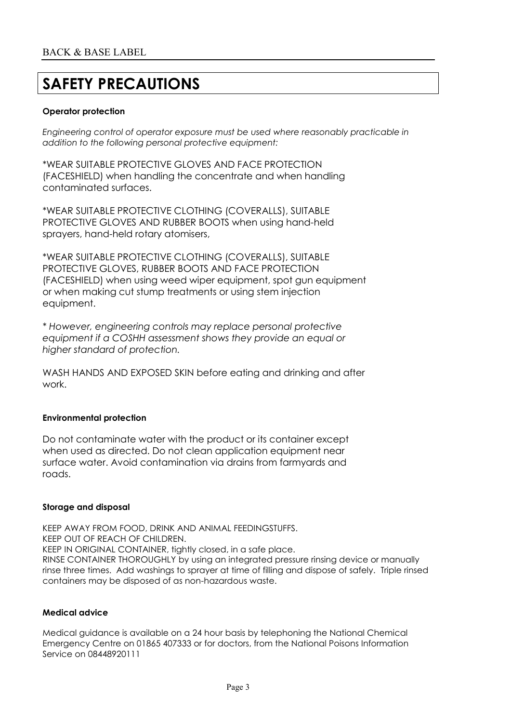# **SAFETY PRECAUTIONS**

#### **Operator protection**

*Engineering control of operator exposure must be used where reasonably practicable in addition to the following personal protective equipment:*

\*WEAR SUITABLE PROTECTIVE GLOVES AND FACE PROTECTION (FACESHIELD) when handling the concentrate and when handling contaminated surfaces.

\*WEAR SUITABLE PROTECTIVE CLOTHING (COVERALLS), SUITABLE PROTECTIVE GLOVES AND RUBBER BOOTS when using hand-held sprayers, hand-held rotary atomisers,

\*WEAR SUITABLE PROTECTIVE CLOTHING (COVERALLS), SUITABLE PROTECTIVE GLOVES, RUBBER BOOTS AND FACE PROTECTION (FACESHIELD) when using weed wiper equipment, spot gun equipment or when making cut stump treatments or using stem injection equipment.

*\* However, engineering controls may replace personal protective equipment if a COSHH assessment shows they provide an equal or higher standard of protection.*

WASH HANDS AND EXPOSED SKIN before eating and drinking and after work.

#### **Environmental protection**

Do not contaminate water with the product or its container except when used as directed. Do not clean application equipment near surface water. Avoid contamination via drains from farmyards and roads.

#### **Storage and disposal**

KEEP AWAY FROM FOOD, DRINK AND ANIMAL FEEDINGSTUFFS. KEEP OUT OF REACH OF CHILDREN. KEEP IN ORIGINAL CONTAINER, tightly closed, in a safe place. RINSE CONTAINER THOROUGHLY by using an integrated pressure rinsing device or manually rinse three times. Add washings to sprayer at time of filling and dispose of safely. Triple rinsed containers may be disposed of as non-hazardous waste.

#### **Medical advice**

Medical guidance is available on a 24 hour basis by telephoning the National Chemical Emergency Centre on 01865 407333 or for doctors, from the National Poisons Information Service on 08448920111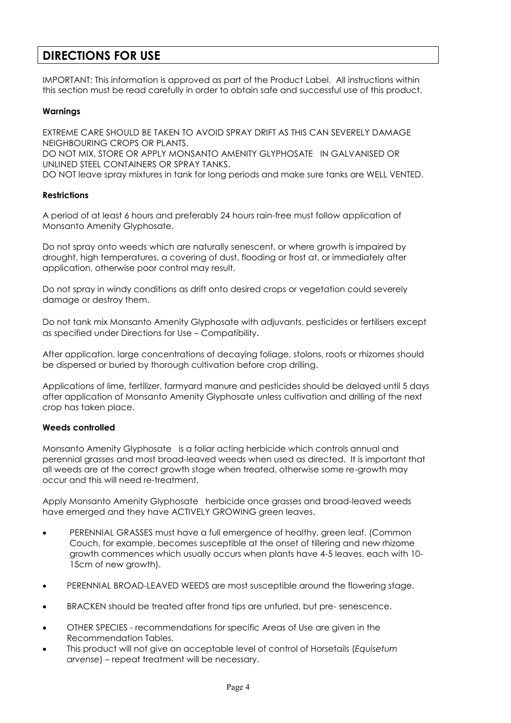## **DIRECTIONS FOR USE**

IMPORTANT: This information is approved as part of the Product Label. All instructions within this section must be read carefully in order to obtain safe and successful use of this product.

#### **Warnings**

EXTREME CARE SHOULD BE TAKEN TO AVOID SPRAY DRIFT AS THIS CAN SEVERELY DAMAGE NEIGHBOURING CROPS OR PLANTS.

DO NOT MIX, STORE OR APPLY MONSANTO AMENITY GLYPHOSATE IN GALVANISED OR UNLINED STEEL CONTAINERS OR SPRAY TANKS.

DO NOT leave spray mixtures in tank for long periods and make sure tanks are WELL VENTED.

#### **Restrictions**

A period of at least 6 hours and preferably 24 hours rain-free must follow application of Monsanto Amenity Glyphosate.

Do not spray onto weeds which are naturally senescent, or where growth is impaired by drought, high temperatures, a covering of dust, flooding or frost at, or immediately after application, otherwise poor control may result.

Do not spray in windy conditions as drift onto desired crops or vegetation could severely damage or destroy them.

Do not tank mix Monsanto Amenity Glyphosate with adjuvants, pesticides or fertilisers except as specified under Directions for Use – Compatibility.

After application, large concentrations of decaying foliage, stolons, roots or rhizomes should be dispersed or buried by thorough cultivation before crop drilling.

Applications of lime, fertilizer, farmyard manure and pesticides should be delayed until 5 days after application of Monsanto Amenity Glyphosate unless cultivation and drilling of the next crop has taken place.

#### **Weeds controlled**

Monsanto Amenity Glyphosate is a foliar acting herbicide which controls annual and perennial grasses and most broad-leaved weeds when used as directed. It is important that all weeds are at the correct growth stage when treated, otherwise some re-growth may occur and this will need re-treatment.

Apply Monsanto Amenity Glyphosate herbicide once grasses and broad-leaved weeds have emerged and they have ACTIVELY GROWING green leaves.

- PERENNIAL GRASSES must have a full emergence of healthy, green leaf. (Common Couch, for example, becomes susceptible at the onset of tillering and new rhizome growth commences which usually occurs when plants have 4-5 leaves, each with 10- 15cm of new growth).
- PERENNIAL BROAD-LEAVED WEEDS are most susceptible around the flowering stage.
- BRACKEN should be treated after frond tips are unfurled, but pre- senescence.
- OTHER SPECIES recommendations for specific Areas of Use are given in the Recommendation Tables,
- This product will not give an acceptable level of control of Horsetails (*Equisetum arvense*) – repeat treatment will be necessary.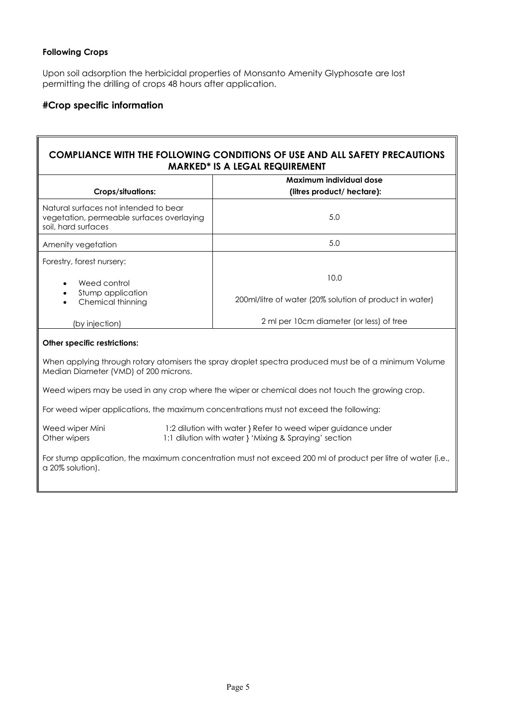#### **Following Crops**

Upon soil adsorption the herbicidal properties of Monsanto Amenity Glyphosate are lost permitting the drilling of crops 48 hours after application.

#### **#Crop specific information**

### **COMPLIANCE WITH THE FOLLOWING CONDITIONS OF USE AND ALL SAFETY PRECAUTIONS MARKED\* IS A LEGAL REQUIREMENT**

| <b>Crops/situations:</b>                                                                                  | Maximum individual dose<br>(litres product/ hectare):   |  |
|-----------------------------------------------------------------------------------------------------------|---------------------------------------------------------|--|
| Natural surfaces not intended to bear<br>vegetation, permeable surfaces overlaying<br>soil, hard surfaces | 5.0                                                     |  |
| Amenity vegetation                                                                                        | 5.0                                                     |  |
| Forestry, forest nursery:                                                                                 |                                                         |  |
| Weed control<br>$\bullet$                                                                                 | 10.0                                                    |  |
| Stump application<br>Chemical thinning<br>$\bullet$                                                       | 200ml/litre of water (20% solution of product in water) |  |
| (by injection)                                                                                            | 2 ml per 10cm diameter (or less) of tree                |  |

#### **Other specific restrictions:**

When applying through rotary atomisers the spray droplet spectra produced must be of a minimum Volume Median Diameter (VMD) of 200 microns.

Weed wipers may be used in any crop where the wiper or chemical does not touch the growing crop.

For weed wiper applications, the maximum concentrations must not exceed the following:

Weed wiper Mini 1:2 dilution with water } Refer to weed wiper guidance under Other wipers 1:1 dilution with water } 'Mixing & Spraying' section

For stump application, the maximum concentration must not exceed 200 ml of product per litre of water (i.e., a 20% solution).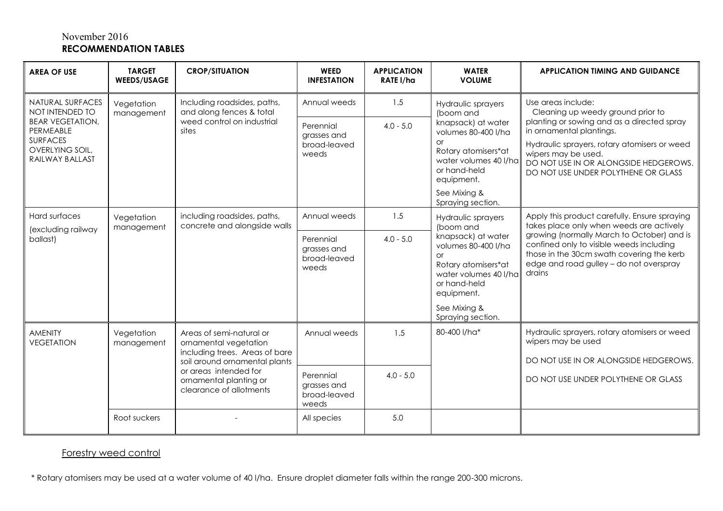### November 2016 **RECOMMENDATION TABLES**

| <b>AREA OF USE</b>                                                                                                                                                                      | <b>TARGET</b><br><b>WEEDS/USAGE</b> | <b>CROP/SITUATION</b>                                                                                                                                                                              | <b>WEED</b><br><b>INFESTATION</b>                 | <b>APPLICATION</b><br>RATE I/ha                                                                                                                      | <b>WATER</b><br><b>VOLUME</b>                                                                                                                                                                                                 | <b>APPLICATION TIMING AND GUIDANCE</b>                                                                                                                                                                                                                                                |
|-----------------------------------------------------------------------------------------------------------------------------------------------------------------------------------------|-------------------------------------|----------------------------------------------------------------------------------------------------------------------------------------------------------------------------------------------------|---------------------------------------------------|------------------------------------------------------------------------------------------------------------------------------------------------------|-------------------------------------------------------------------------------------------------------------------------------------------------------------------------------------------------------------------------------|---------------------------------------------------------------------------------------------------------------------------------------------------------------------------------------------------------------------------------------------------------------------------------------|
| <b>NATURAL SURFACES</b><br>Vegetation<br>NOT INTENDED TO<br>management<br><b>BEAR VEGETATION,</b><br>PERMEABLE<br>sites<br><b>SURFACES</b><br><b>OVERLYING SOIL,</b><br>RAILWAY BALLAST |                                     | Including roadsides, paths,<br>and along fences & total                                                                                                                                            | Annual weeds                                      | 1.5                                                                                                                                                  | Hydraulic sprayers<br>(boom and                                                                                                                                                                                               | Use areas include:<br>Cleaning up weedy ground prior to                                                                                                                                                                                                                               |
|                                                                                                                                                                                         | weed control on industrial          | Perennial<br>grasses and<br>broad-leaved<br>weeds                                                                                                                                                  | $4.0 - 5.0$                                       | knapsack) at water<br>volumes 80-400 l/ha<br><b>or</b><br>Rotary atomisers*at<br>water volumes 40 l/ha<br>or hand-held<br>equipment.<br>See Mixing & | planting or sowing and as a directed spray<br>in ornamental plantings.<br>Hydraulic sprayers, rotary atomisers or weed<br>wipers may be used.<br>DO NOT USE IN OR ALONGSIDE HEDGEROWS.<br>DO NOT USE UNDER POLYTHENE OR GLASS |                                                                                                                                                                                                                                                                                       |
|                                                                                                                                                                                         |                                     |                                                                                                                                                                                                    |                                                   |                                                                                                                                                      | Spraying section.                                                                                                                                                                                                             |                                                                                                                                                                                                                                                                                       |
| Hard surfaces<br>(excluding railway                                                                                                                                                     | Vegetation<br>management            | including roadsides, paths,<br>concrete and alongside walls                                                                                                                                        | Annual weeds                                      | 1.5                                                                                                                                                  | <b>Hydraulic sprayers</b><br>(boom and                                                                                                                                                                                        | Apply this product carefully. Ensure spraying<br>takes place only when weeds are actively<br>growing (normally March to October) and is<br>confined only to visible weeds including<br>those in the 30cm swath covering the kerb<br>edge and road gulley - do not overspray<br>drains |
| ballast)                                                                                                                                                                                |                                     |                                                                                                                                                                                                    | Perennial<br>grasses and<br>broad-leaved<br>weeds | $4.0 - 5.0$                                                                                                                                          | knapsack) at water<br>volumes 80-400 l/ha<br>$\Omega$ r<br>Rotary atomisers*at<br>water volumes 40 l/ha<br>or hand-held<br>equipment.                                                                                         |                                                                                                                                                                                                                                                                                       |
|                                                                                                                                                                                         |                                     |                                                                                                                                                                                                    |                                                   |                                                                                                                                                      | See Mixing &<br>Spraying section.                                                                                                                                                                                             |                                                                                                                                                                                                                                                                                       |
| <b>AMENITY</b><br><b>VEGETATION</b>                                                                                                                                                     | Vegetation<br>management            | Areas of semi-natural or<br>ornamental vegetation<br>including trees. Areas of bare<br>soil around ornamental plants<br>or areas intended for<br>ornamental planting or<br>clearance of allotments | Annual weeds                                      | 1.5                                                                                                                                                  | 80-400 l/ha*                                                                                                                                                                                                                  | Hydraulic sprayers, rotary atomisers or weed<br>wipers may be used<br>DO NOT USE IN OR ALONGSIDE HEDGEROWS.                                                                                                                                                                           |
|                                                                                                                                                                                         |                                     |                                                                                                                                                                                                    | Perennial<br>grasses and<br>broad-leaved<br>weeds | $4.0 - 5.0$                                                                                                                                          |                                                                                                                                                                                                                               | DO NOT USE UNDER POLYTHENE OR GLASS                                                                                                                                                                                                                                                   |
|                                                                                                                                                                                         | Root suckers                        |                                                                                                                                                                                                    | All species                                       | 5.0                                                                                                                                                  |                                                                                                                                                                                                                               |                                                                                                                                                                                                                                                                                       |

## Forestry weed control

\* Rotary atomisers may be used at a water volume of 40 l/ha. Ensure droplet diameter falls within the range 200-300 microns.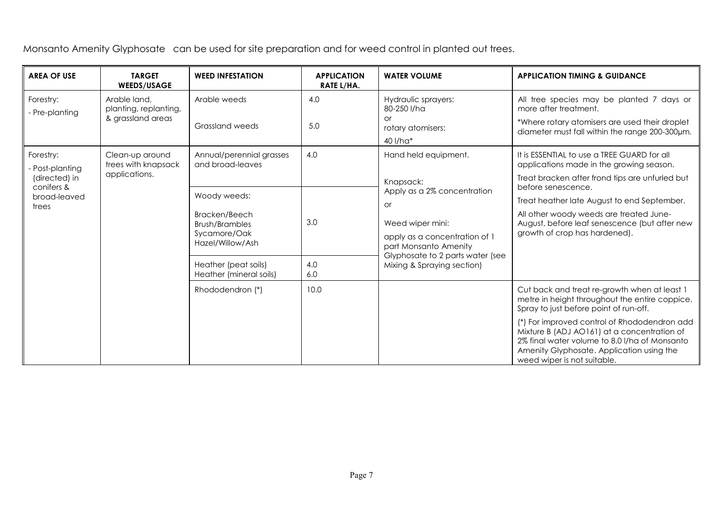Monsanto Amenity Glyphosate can be used for site preparation and for weed control in planted out trees.

| <b>AREA OF USE</b>                                                                        | <b>TARGET</b><br><b>WEEDS/USAGE</b>    | <b>WEED INFESTATION</b>                         | <b>APPLICATION</b><br>RATE L/HA.                       | <b>WATER VOLUME</b>                                                                              | <b>APPLICATION TIMING &amp; GUIDANCE</b>                                                                                                                                                                                 |
|-------------------------------------------------------------------------------------------|----------------------------------------|-------------------------------------------------|--------------------------------------------------------|--------------------------------------------------------------------------------------------------|--------------------------------------------------------------------------------------------------------------------------------------------------------------------------------------------------------------------------|
| Forestry:<br>Arable land,<br>planting, replanting,<br>- Pre-planting<br>& grassland areas |                                        | Arable weeds                                    | 4.0                                                    | Hydraulic sprayers:<br>80-250 l/ha                                                               | All tree species may be planted 7 days or<br>more after treatment.                                                                                                                                                       |
|                                                                                           | Grassland weeds                        | 5.0                                             | Ωr<br>rotary atomisers:<br>40 l/ha*                    | *Where rotary atomisers are used their droplet<br>diameter must fall within the range 200-300um. |                                                                                                                                                                                                                          |
| Forestry:<br>- Post-planting                                                              | Clean-up around<br>trees with knapsack | Annual/perennial grasses<br>and broad-leaves    | 4.0                                                    | Hand held equipment.                                                                             | It is ESSENTIAL to use a TREE GUARD for all<br>applications made in the growing season.                                                                                                                                  |
| (directed) in<br>conifers &                                                               | applications.                          |                                                 |                                                        | Knapsack:<br>Apply as a 2% concentration                                                         | Treat bracken after frond tips are unfurled but<br>before senescence.                                                                                                                                                    |
| broad-leaved<br>trees                                                                     | Woody weeds:                           |                                                 | <b>or</b>                                              | Treat heather late August to end September.                                                      |                                                                                                                                                                                                                          |
|                                                                                           |                                        | Bracken/Beech<br><b>Brush/Brambles</b>          | 3.0                                                    | Weed wiper mini:                                                                                 | All other woody weeds are treated June-<br>August, before leaf senescence (but after new                                                                                                                                 |
|                                                                                           | Sycamore/Oak<br>Hazel/Willow/Ash       |                                                 | apply as a concentration of 1<br>part Monsanto Amenity | growth of crop has hardened).                                                                    |                                                                                                                                                                                                                          |
|                                                                                           |                                        | Heather (peat soils)<br>Heather (mineral soils) | 4.0<br>6.0                                             | Glyphosate to 2 parts water (see<br>Mixing & Spraying section)                                   |                                                                                                                                                                                                                          |
|                                                                                           |                                        | Rhododendron (*)                                | 10.0                                                   |                                                                                                  | Cut back and treat re-growth when at least 1<br>metre in height throughout the entire coppice.<br>Spray to just before point of run-off.                                                                                 |
|                                                                                           |                                        |                                                 |                                                        |                                                                                                  | (*) For improved control of Rhododendron add<br>Mixture B (ADJ AO161) at a concentration of<br>2% final water volume to 8.0 I/ha of Monsanto<br>Amenity Glyphosate. Application using the<br>weed wiper is not suitable. |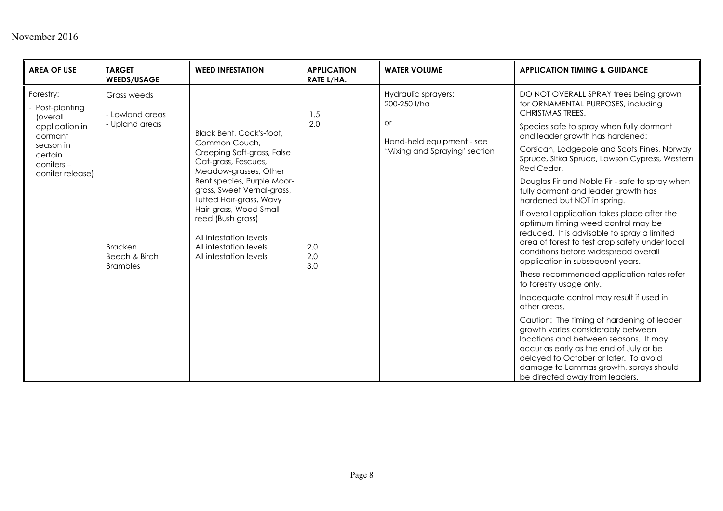| <b>AREA OF USE</b>                                                                                                            | <b>TARGET</b><br><b>WEEDS/USAGE</b>                                                                    | <b>WEED INFESTATION</b>                                                                                                                                                                                                                                                                                                                      | <b>APPLICATION</b><br>RATE L/HA. | <b>WATER VOLUME</b>                                                                                     | <b>APPLICATION TIMING &amp; GUIDANCE</b>                                                                                                                                                                                                                                                                                                                                                                                                                                                                                                                                                                                                                                                                                                                                                                                                                                                                                                                                                                                                                                                                                         |
|-------------------------------------------------------------------------------------------------------------------------------|--------------------------------------------------------------------------------------------------------|----------------------------------------------------------------------------------------------------------------------------------------------------------------------------------------------------------------------------------------------------------------------------------------------------------------------------------------------|----------------------------------|---------------------------------------------------------------------------------------------------------|----------------------------------------------------------------------------------------------------------------------------------------------------------------------------------------------------------------------------------------------------------------------------------------------------------------------------------------------------------------------------------------------------------------------------------------------------------------------------------------------------------------------------------------------------------------------------------------------------------------------------------------------------------------------------------------------------------------------------------------------------------------------------------------------------------------------------------------------------------------------------------------------------------------------------------------------------------------------------------------------------------------------------------------------------------------------------------------------------------------------------------|
| Forestry:<br>Post-planting<br>(overall<br>application in<br>dormant<br>season in<br>certain<br>conifers -<br>conifer release) | Grass weeds<br>- Lowland areas<br>- Upland areas<br><b>Bracken</b><br>Beech & Birch<br><b>Brambles</b> | Black Bent, Cock's-foot,<br>Common Couch.<br>Creeping Soft-grass, False<br>Oat-grass, Fescues,<br>Meadow-grasses, Other<br>Bent species, Purple Moor-<br>grass, Sweet Vernal-grass,<br>Tufted Hair-grass, Wavy<br>Hair-grass, Wood Small-<br>reed (Bush grass)<br>All infestation levels<br>All infestation levels<br>All infestation levels | 1.5<br>2.0<br>2.0<br>2.0<br>3.0  | Hydraulic sprayers:<br>200-250 l/ha<br>or<br>Hand-held equipment - see<br>'Mixing and Spraying' section | DO NOT OVERALL SPRAY trees being grown<br>for ORNAMENTAL PURPOSES, including<br><b>CHRISTMAS TREES.</b><br>Species safe to spray when fully dormant<br>and leader growth has hardened:<br>Corsican, Lodgepole and Scots Pines, Norway<br>Spruce, Sitka Spruce, Lawson Cypress, Western<br>Red Cedar.<br>Douglas Fir and Noble Fir - safe to spray when<br>fully dormant and leader growth has<br>hardened but NOT in spring.<br>If overall application takes place after the<br>optimum timing weed control may be<br>reduced. It is advisable to spray a limited<br>area of forest to test crop safety under local<br>conditions before widespread overall<br>application in subsequent years.<br>These recommended application rates refer<br>to forestry usage only.<br>Inadequate control may result if used in<br>other areas.<br>Caution: The timing of hardening of leader<br>growth varies considerably between<br>locations and between seasons. It may<br>occur as early as the end of July or be<br>delayed to October or later. To avoid<br>damage to Lammas growth, sprays should<br>be directed away from leaders. |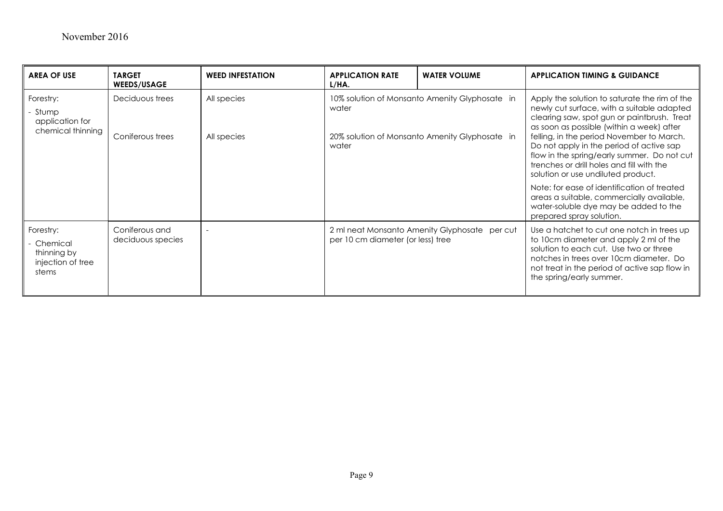| <b>AREA OF USE</b>                                                 | <b>TARGET</b><br><b>WEEDS/USAGE</b> | <b>WEED INFESTATION</b>    | <b>APPLICATION RATE</b><br>L/HA.                                                                                   | <b>WATER VOLUME</b>                           | <b>APPLICATION TIMING &amp; GUIDANCE</b>                                                                                                                                                                                                                                                                                                                                                                           |
|--------------------------------------------------------------------|-------------------------------------|----------------------------|--------------------------------------------------------------------------------------------------------------------|-----------------------------------------------|--------------------------------------------------------------------------------------------------------------------------------------------------------------------------------------------------------------------------------------------------------------------------------------------------------------------------------------------------------------------------------------------------------------------|
| Forestry:<br>- Stump<br>application for<br>chemical thinning       | Deciduous trees<br>Coniferous trees | All species<br>All species | 10% solution of Monsanto Amenity Glyphosate in<br>water<br>20% solution of Monsanto Amenity Glyphosate in<br>water |                                               | Apply the solution to saturate the rim of the<br>newly cut surface, with a suitable adapted<br>clearing saw, spot gun or paintbrush. Treat<br>as soon as possible (within a week) after<br>felling, in the period November to March.<br>Do not apply in the period of active sap<br>flow in the spring/early summer. Do not cut<br>trenches or drill holes and fill with the<br>solution or use undiluted product. |
|                                                                    |                                     |                            |                                                                                                                    |                                               | Note: for ease of identification of treated<br>areas a suitable, commercially available,<br>water-soluble dye may be added to the<br>prepared spray solution.                                                                                                                                                                                                                                                      |
| Forestry:<br>Chemical<br>thinning by<br>injection of tree<br>stems | Coniferous and<br>deciduous species |                            | per 10 cm diameter (or less) tree                                                                                  | 2 ml neat Monsanto Amenity Glyphosate per cut | Use a hatchet to cut one notch in trees up<br>to 10cm diameter and apply 2 ml of the<br>solution to each cut. Use two or three<br>notches in trees over 10cm diameter. Do<br>not treat in the period of active sap flow in<br>the spring/early summer.                                                                                                                                                             |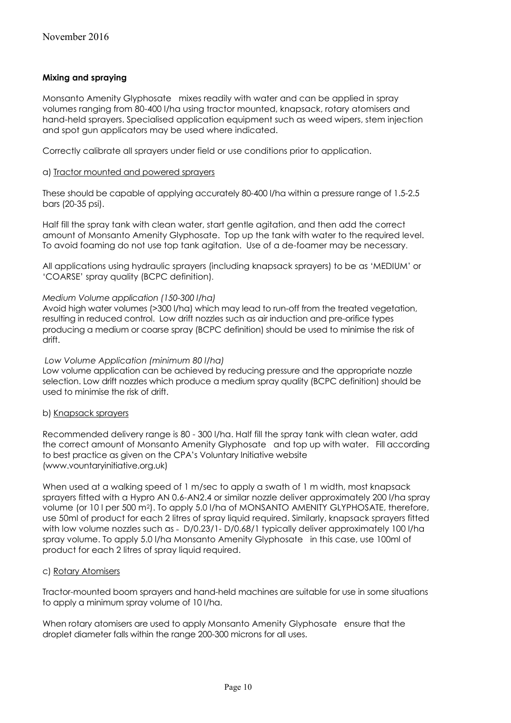#### **Mixing and spraying**

Monsanto Amenity Glyphosate mixes readily with water and can be applied in spray volumes ranging from 80-400 l/ha using tractor mounted, knapsack, rotary atomisers and hand-held sprayers. Specialised application equipment such as weed wipers, stem injection and spot gun applicators may be used where indicated.

Correctly calibrate all sprayers under field or use conditions prior to application.

#### a) Tractor mounted and powered sprayers

These should be capable of applying accurately 80-400 l/ha within a pressure range of 1.5-2.5 bars (20-35 psi).

Half fill the spray tank with clean water, start gentle agitation, and then add the correct amount of Monsanto Amenity Glyphosate. Top up the tank with water to the required level. To avoid foaming do not use top tank agitation. Use of a de-foamer may be necessary.

All applications using hydraulic sprayers (including knapsack sprayers) to be as 'MEDIUM' or 'COARSE' spray quality (BCPC definition).

#### *Medium Volume application (150-300 l/ha)*

Avoid high water volumes (>300 l/ha) which may lead to run-off from the treated vegetation, resulting in reduced control. Low drift nozzles such as air induction and pre-orifice types producing a medium or coarse spray (BCPC definition) should be used to minimise the risk of drift.

#### *Low Volume Application (minimum 80 l/ha)*

Low volume application can be achieved by reducing pressure and the appropriate nozzle selection. Low drift nozzles which produce a medium spray quality (BCPC definition) should be used to minimise the risk of drift.

#### b) Knapsack sprayers

Recommended delivery range is 80 - 300 l/ha. Half fill the spray tank with clean water, add the correct amount of Monsanto Amenity Glyphosate and top up with water. Fill according to best practice as given on the CPA's Voluntary Initiative website (www.vountaryinitiative.org.uk)

When used at a walking speed of 1 m/sec to apply a swath of 1 m width, most knapsack sprayers fitted with a Hypro AN 0.6-AN2.4 or similar nozzle deliver approximately 200 l/ha spray volume (or 10 l per 500 m2). To apply 5.0 l/ha of MONSANTO AMENITY GLYPHOSATE, therefore, use 50ml of product for each 2 litres of spray liquid required. Similarly, knapsack sprayers fitted with low volume nozzles such as - D/0.23/1- D/0.68/1 typically deliver approximately 100 l/ha spray volume. To apply 5.0 l/ha Monsanto Amenity Glyphosate in this case, use 100ml of product for each 2 litres of spray liquid required.

#### c) Rotary Atomisers

Tractor-mounted boom sprayers and hand-held machines are suitable for use in some situations to apply a minimum spray volume of 10 l/ha.

When rotary atomisers are used to apply Monsanto Amenity Glyphosate ensure that the droplet diameter falls within the range 200-300 microns for all uses.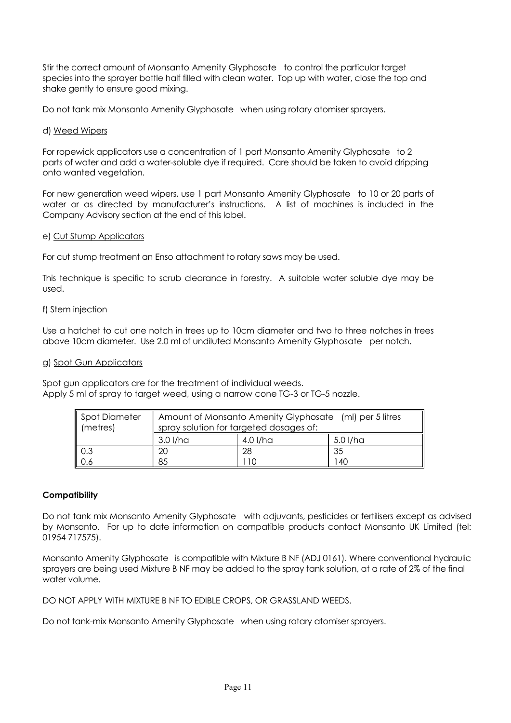Stir the correct amount of Monsanto Amenity Glyphosate to control the particular target species into the sprayer bottle half filled with clean water. Top up with water, close the top and shake gently to ensure good mixing.

Do not tank mix Monsanto Amenity Glyphosate when using rotary atomiser sprayers.

#### d) Weed Wipers

For ropewick applicators use a concentration of 1 part Monsanto Amenity Glyphosate to 2 parts of water and add a water-soluble dye if required. Care should be taken to avoid dripping onto wanted vegetation.

For new generation weed wipers, use 1 part Monsanto Amenity Glyphosate to 10 or 20 parts of water or as directed by manufacturer's instructions. A list of machines is included in the Company Advisory section at the end of this label.

#### e) Cut Stump Applicators

For cut stump treatment an Enso attachment to rotary saws may be used.

This technique is specific to scrub clearance in forestry. A suitable water soluble dye may be used.

#### f) Stem injection

Use a hatchet to cut one notch in trees up to 10cm diameter and two to three notches in trees above 10cm diameter. Use 2.0 ml of undiluted Monsanto Amenity Glyphosate per notch.

#### g) Spot Gun Applicators

Spot gun applicators are for the treatment of individual weeds. Apply 5 ml of spray to target weed, using a narrow cone TG-3 or TG-5 nozzle.

| Spot Diameter<br>$\parallel$ (metres) | Amount of Monsanto Amenity Glyphosate (ml) per 5 litres<br>spray solution for targeted dosages of: |    |    |  |  |  |
|---------------------------------------|----------------------------------------------------------------------------------------------------|----|----|--|--|--|
|                                       | 3.0 I/ha<br>5.0 l/ha<br>4.0 I/ha                                                                   |    |    |  |  |  |
| 0.3                                   | 20                                                                                                 | 28 | 35 |  |  |  |
| $\vert$ 0.6                           | 85<br>-40<br>10                                                                                    |    |    |  |  |  |

#### **Compatibility**

Do not tank mix Monsanto Amenity Glyphosate with adjuvants, pesticides or fertilisers except as advised by Monsanto. For up to date information on compatible products contact Monsanto UK Limited (tel: 01954 717575).

Monsanto Amenity Glyphosate is compatible with Mixture B NF (ADJ 0161). Where conventional hydraulic sprayers are being used Mixture B NF may be added to the spray tank solution, at a rate of 2% of the final water volume.

DO NOT APPLY WITH MIXTURE B NE TO EDIBLE CROPS. OR GRASSLAND WEEDS.

Do not tank-mix Monsanto Amenity Glyphosate when using rotary atomiser sprayers.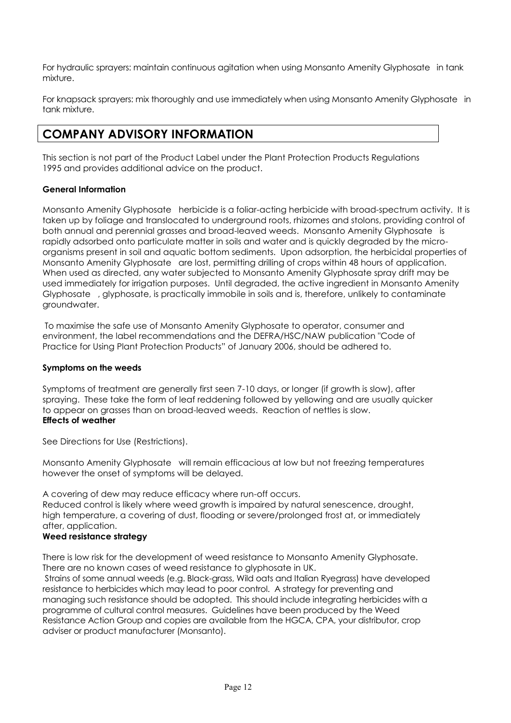For hydraulic sprayers: maintain continuous agitation when using Monsanto Amenity Glyphosate in tank mixture.

For knapsack sprayers: mix thoroughly and use immediately when using Monsanto Amenity Glyphosate in tank mixture.

## **COMPANY ADVISORY INFORMATION**

This section is not part of the Product Label under the Plant Protection Products Regulations 1995 and provides additional advice on the product.

#### **General Information**

Monsanto Amenity Glyphosate herbicide is a foliar-acting herbicide with broad-spectrum activity. It is taken up by foliage and translocated to underground roots, rhizomes and stolons, providing control of both annual and perennial grasses and broad-leaved weeds. Monsanto Amenity Glyphosate is rapidly adsorbed onto particulate matter in soils and water and is quickly degraded by the microorganisms present in soil and aquatic bottom sediments. Upon adsorption, the herbicidal properties of Monsanto Amenity Glyphosate are lost, permitting drilling of crops within 48 hours of application. When used as directed, any water subjected to Monsanto Amenity Glyphosate spray drift may be used immediately for irrigation purposes. Until degraded, the active ingredient in Monsanto Amenity Glyphosate , glyphosate, is practically immobile in soils and is, therefore, unlikely to contaminate groundwater.

To maximise the safe use of Monsanto Amenity Glyphosate to operator, consumer and environment, the label recommendations and the DEFRA/HSC/NAW publication "Code of Practice for Using Plant Protection Products" of January 2006, should be adhered to.

#### **Symptoms on the weeds**

Symptoms of treatment are generally first seen 7-10 days, or longer (if growth is slow), after spraying. These take the form of leaf reddening followed by yellowing and are usually quicker to appear on grasses than on broad-leaved weeds. Reaction of nettles is slow. **Effects of weather**

See Directions for Use (Restrictions).

Monsanto Amenity Glyphosate will remain efficacious at low but not freezing temperatures however the onset of symptoms will be delayed.

A covering of dew may reduce efficacy where run-off occurs.

Reduced control is likely where weed growth is impaired by natural senescence, drought, high temperature, a covering of dust, flooding or severe/prolonged frost at, or immediately after, application.

#### **Weed resistance strategy**

There is low risk for the development of weed resistance to Monsanto Amenity Glyphosate. There are no known cases of weed resistance to glyphosate in UK.

Strains of some annual weeds (e.g. Black-grass, Wild oats and Italian Ryegrass) have developed resistance to herbicides which may lead to poor control. A strategy for preventing and managing such resistance should be adopted. This should include integrating herbicides with a programme of cultural control measures. Guidelines have been produced by the Weed Resistance Action Group and copies are available from the HGCA, CPA, your distributor, crop adviser or product manufacturer (Monsanto).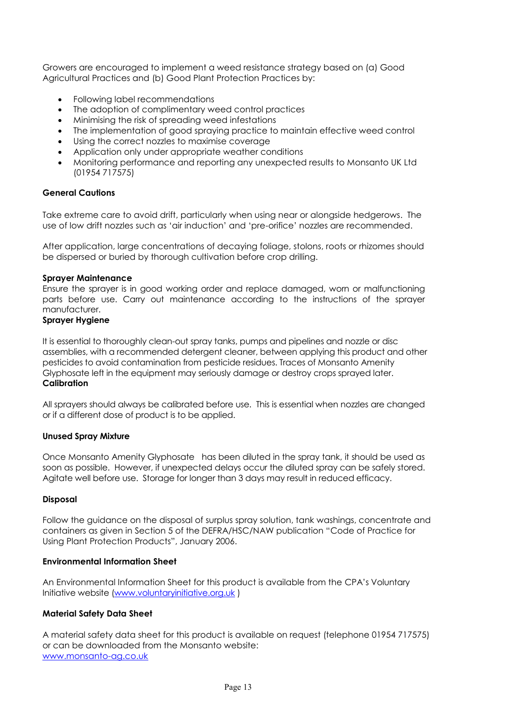Growers are encouraged to implement a weed resistance strategy based on (a) Good Agricultural Practices and (b) Good Plant Protection Practices by:

- Following label recommendations
- The adoption of complimentary weed control practices
- Minimising the risk of spreading weed infestations
- The implementation of good spraying practice to maintain effective weed control
- Using the correct nozzles to maximise coverage
- Application only under appropriate weather conditions
- Monitoring performance and reporting any unexpected results to Monsanto UK Ltd (01954 717575)

#### **General Cautions**

Take extreme care to avoid drift, particularly when using near or alongside hedgerows. The use of low drift nozzles such as 'air induction' and 'pre-orifice' nozzles are recommended.

After application, large concentrations of decaying foliage, stolons, roots or rhizomes should be dispersed or buried by thorough cultivation before crop drilling.

#### **Sprayer Maintenance**

Ensure the sprayer is in good working order and replace damaged, worn or malfunctioning parts before use. Carry out maintenance according to the instructions of the sprayer manufacturer.

#### **Sprayer Hygiene**

It is essential to thoroughly clean-out spray tanks, pumps and pipelines and nozzle or disc assemblies, with a recommended detergent cleaner, between applying this product and other pesticides to avoid contamination from pesticide residues. Traces of Monsanto Amenity Glyphosate left in the equipment may seriously damage or destroy crops sprayed later. **Calibration**

All sprayers should always be calibrated before use. This is essential when nozzles are changed or if a different dose of product is to be applied.

#### **Unused Spray Mixture**

Once Monsanto Amenity Glyphosate has been diluted in the spray tank, it should be used as soon as possible. However, if unexpected delays occur the diluted spray can be safely stored. Agitate well before use. Storage for longer than 3 days may result in reduced efficacy.

#### **Disposal**

Follow the guidance on the disposal of surplus spray solution, tank washings, concentrate and containers as given in Section 5 of the DEFRA/HSC/NAW publication "Code of Practice for Using Plant Protection Products", January 2006.

#### **Environmental Information Sheet**

An Environmental Information Sheet for this product is available from the CPA's Voluntary Initiative website [\(www.voluntaryinitiative.org.uk](http://www.voluntaryinitiative.org.uk/) )

#### **Material Safety Data Sheet**

A material safety data sheet for this product is available on request (telephone 01954 717575) or can be downloaded from the Monsanto website: [www.monsanto-ag.co.uk](http://www.monsanto-ag.co.uk/)